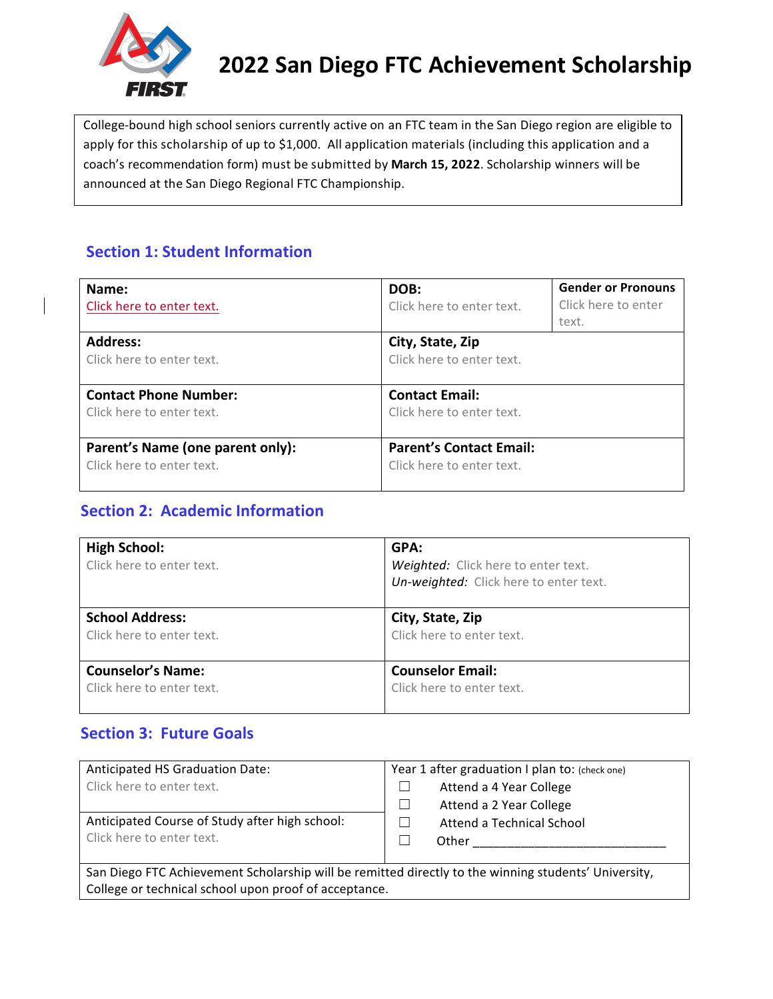

# **2022 San Diego FTC Achievement Scholarship**

College-bound high school seniors currently active on an FTC team in the San Diego region are eligible to apply for this scholarship of up to \$1,000. All application materials (including this application and a coach's recommendation form) must be submitted by **March 15, 2022**. Scholarship winners will be announced at the San Diego Regional FTC Championship. 

### **Section 1: Student Information**

| Name:<br>Click here to enter text.                            | DOB:<br>Click here to enter text.                           | <b>Gender or Pronouns</b><br>Click here to enter<br>text. |  |  |
|---------------------------------------------------------------|-------------------------------------------------------------|-----------------------------------------------------------|--|--|
| <b>Address:</b><br>Click here to enter text.                  | City, State, Zip<br>Click here to enter text.               |                                                           |  |  |
| <b>Contact Phone Number:</b><br>Click here to enter text.     | <b>Contact Email:</b><br>Click here to enter text.          |                                                           |  |  |
| Parent's Name (one parent only):<br>Click here to enter text. | <b>Parent's Contact Email:</b><br>Click here to enter text. |                                                           |  |  |

# **Section 2: Academic Information**

| <b>High School:</b><br>Click here to enter text. | GPA:<br>Weighted: Click here to enter text.<br>Un-weighted: Click here to enter text. |
|--------------------------------------------------|---------------------------------------------------------------------------------------|
| <b>School Address:</b>                           | City, State, Zip                                                                      |
| Click here to enter text.                        | Click here to enter text.                                                             |
| <b>Counselor's Name:</b>                         | <b>Counselor Email:</b>                                                               |
| Click here to enter text.                        | Click here to enter text.                                                             |

# **Section 3: Future Goals**

| <b>Anticipated HS Graduation Date:</b>         | Year 1 after graduation I plan to: (check one) |  |  |
|------------------------------------------------|------------------------------------------------|--|--|
| Click here to enter text.                      | Attend a 4 Year College                        |  |  |
|                                                | Attend a 2 Year College                        |  |  |
| Anticipated Course of Study after high school: | Attend a Technical School                      |  |  |
| Click here to enter text.                      | Other                                          |  |  |
|                                                |                                                |  |  |

San Diego FTC Achievement Scholarship will be remitted directly to the winning students' University, College or technical school upon proof of acceptance.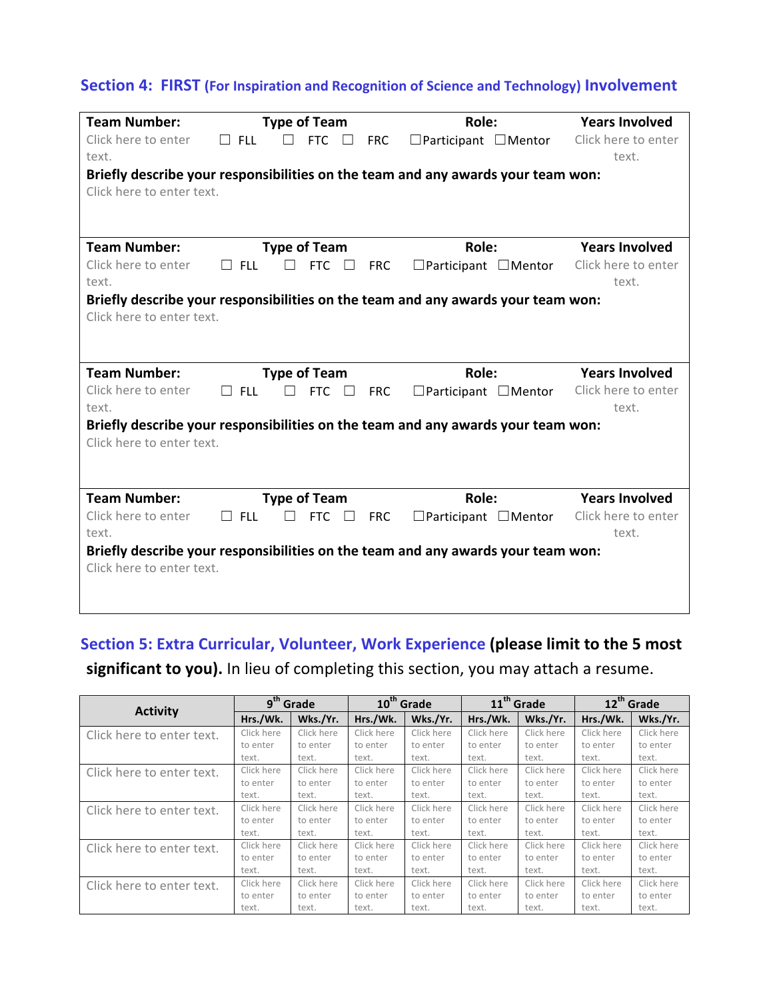#### **Section 4: FIRST (For Inspiration and Recognition of Science and Technology) Involvement**

| <b>Team Number:</b>          |            | <b>Type of Team</b> |            |            | Role:                                                                            | <b>Years Involved</b>        |
|------------------------------|------------|---------------------|------------|------------|----------------------------------------------------------------------------------|------------------------------|
| Click here to enter<br>text. | <b>FLL</b> |                     | FTC        | <b>FRC</b> | $\Box$ Participant $\Box$ Mentor                                                 | Click here to enter<br>text. |
| Click here to enter text.    |            |                     |            |            | Briefly describe your responsibilities on the team and any awards your team won: |                              |
|                              |            |                     |            |            |                                                                                  |                              |
| <b>Team Number:</b>          |            | <b>Type of Team</b> |            |            | Role:                                                                            | <b>Years Involved</b>        |
| Click here to enter<br>text. | <b>FLL</b> |                     | <b>FTC</b> | <b>FRC</b> | $\Box$ Participant $\Box$ Mentor                                                 | Click here to enter<br>text. |
|                              |            |                     |            |            | Briefly describe your responsibilities on the team and any awards your team won: |                              |
| Click here to enter text.    |            |                     |            |            |                                                                                  |                              |
|                              |            |                     |            |            |                                                                                  |                              |
|                              |            |                     |            |            |                                                                                  |                              |
| <b>Team Number:</b>          |            | <b>Type of Team</b> |            |            | Role:                                                                            | <b>Years Involved</b>        |
| Click here to enter          | <b>FLL</b> |                     | <b>FTC</b> | <b>FRC</b> | $\Box$ Participant $\Box$ Mentor                                                 | Click here to enter          |
| text.                        |            |                     |            |            |                                                                                  | text.                        |
|                              |            |                     |            |            |                                                                                  |                              |
|                              |            |                     |            |            | Briefly describe your responsibilities on the team and any awards your team won: |                              |
| Click here to enter text.    |            |                     |            |            |                                                                                  |                              |
|                              |            |                     |            |            |                                                                                  |                              |
| <b>Team Number:</b>          |            | <b>Type of Team</b> |            |            | Role:                                                                            | <b>Years Involved</b>        |
| Click here to enter          | <b>FLL</b> |                     | <b>FTC</b> | <b>FRC</b> | $\Box$ Participant $\Box$ Mentor                                                 | Click here to enter          |
| text.                        |            |                     |            |            |                                                                                  | text.                        |
|                              |            |                     |            |            | Briefly describe your responsibilities on the team and any awards your team won: |                              |
| Click here to enter text.    |            |                     |            |            |                                                                                  |                              |

# **Section 5: Extra Curricular, Volunteer, Work Experience (please limit to the 5 most** significant to you). In lieu of completing this section, you may attach a resume.

| <b>Activity</b>           | 9 <sup>th</sup> Grade |            | 10 <sup>th</sup> Grade |            | 11 <sup>th</sup> Grade |            | 12 <sup>th</sup> Grade |            |
|---------------------------|-----------------------|------------|------------------------|------------|------------------------|------------|------------------------|------------|
|                           | Hrs./Wk.              | Wks./Yr.   | Hrs./Wk.               | Wks./Yr.   | Hrs./Wk.               | Wks./Yr.   | Hrs./Wk.               | Wks./Yr.   |
| Click here to enter text. | Click here            | Click here | Click here             | Click here | Click here             | Click here | Click here             | Click here |
|                           | to enter              | to enter   | to enter               | to enter   | to enter               | to enter   | to enter               | to enter   |
|                           | text.                 | text.      | text.                  | text.      | text.                  | text.      | text.                  | text.      |
| Click here to enter text. | Click here            | Click here | Click here             | Click here | Click here             | Click here | Click here             | Click here |
|                           | to enter              | to enter   | to enter               | to enter   | to enter               | to enter   | to enter               | to enter   |
|                           | text.                 | text.      | text.                  | text.      | text.                  | text.      | text.                  | text.      |
| Click here to enter text. | Click here            | Click here | Click here             | Click here | Click here             | Click here | Click here             | Click here |
|                           | to enter              | to enter   | to enter               | to enter   | to enter               | to enter   | to enter               | to enter   |
|                           | text.                 | text.      | text.                  | text.      | text.                  | text.      | text.                  | text.      |
| Click here to enter text. | Click here            | Click here | Click here             | Click here | Click here             | Click here | Click here             | Click here |
|                           | to enter              | to enter   | to enter               | to enter   | to enter               | to enter   | to enter               | to enter   |
|                           | text.                 | text.      | text.                  | text.      | text.                  | text.      | text.                  | text.      |
| Click here to enter text. | Click here            | Click here | Click here             | Click here | Click here             | Click here | Click here             | Click here |
|                           | to enter              | to enter   | to enter               | to enter   | to enter               | to enter   | to enter               | to enter   |
|                           | text.                 | text.      | text.                  | text.      | text.                  | text.      | text.                  | text.      |